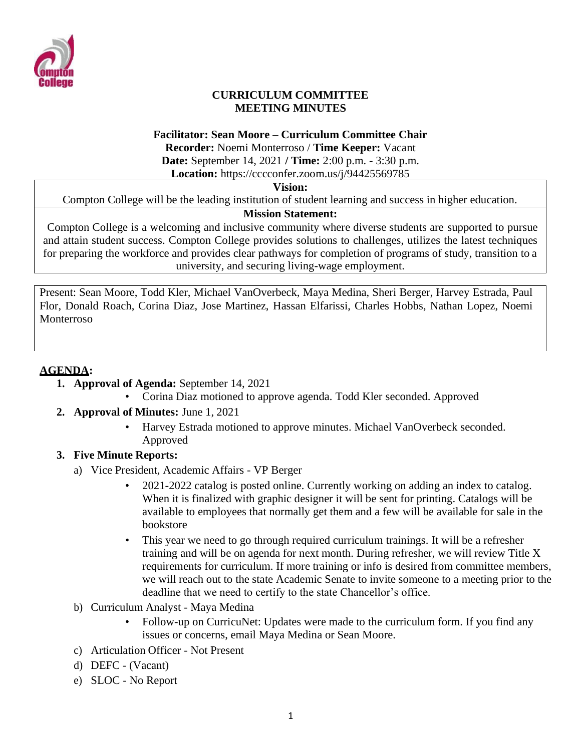

#### **CURRICULUM COMMITTEE MEETING MINUTES**

#### **Facilitator: Sean Moore – Curriculum Committee Chair**

**Recorder:** Noemi Monterroso / **Time Keeper:** Vacant **Date:** September 14, 2021 **/ Time:** 2:00 p.m. - 3:30 p.m.

**Location:** https://cccconfer.zoom.us/j/94425569785

#### **Vision:**

Compton College will be the leading institution of student learning and success in higher education.

#### **Mission Statement:**

Compton College is a welcoming and inclusive community where diverse students are supported to pursue and attain student success. Compton College provides solutions to challenges, utilizes the latest techniques for preparing the workforce and provides clear pathways for completion of programs of study, transition to a university, and securing living-wage employment.

Present: Sean Moore, Todd Kler, Michael VanOverbeck, Maya Medina, Sheri Berger, Harvey Estrada, Paul Flor, Donald Roach, Corina Diaz, Jose Martinez, Hassan Elfarissi, Charles Hobbs, Nathan Lopez, Noemi Monterroso

### **AGENDA:**

- **1. Approval of Agenda:** September 14, 2021
	- Corina Diaz motioned to approve agenda. Todd Kler seconded. Approved
- **2. Approval of Minutes:** June 1, 2021
	- Harvey Estrada motioned to approve minutes. Michael VanOverbeck seconded. Approved

## **3. Five Minute Reports:**

- a) Vice President, Academic Affairs VP Berger
	- 2021-2022 catalog is posted online. Currently working on adding an index to catalog. When it is finalized with graphic designer it will be sent for printing. Catalogs will be available to employees that normally get them and a few will be available for sale in the bookstore
	- This year we need to go through required curriculum trainings. It will be a refresher training and will be on agenda for next month. During refresher, we will review Title X requirements for curriculum. If more training or info is desired from committee members, we will reach out to the state Academic Senate to invite someone to a meeting prior to the deadline that we need to certify to the state Chancellor's office.
- b) Curriculum Analyst Maya Medina
	- Follow-up on CurricuNet: Updates were made to the curriculum form. If you find any issues or concerns, email Maya Medina or Sean Moore.
- c) Articulation Officer Not Present
- d) DEFC (Vacant)
- e) SLOC No Report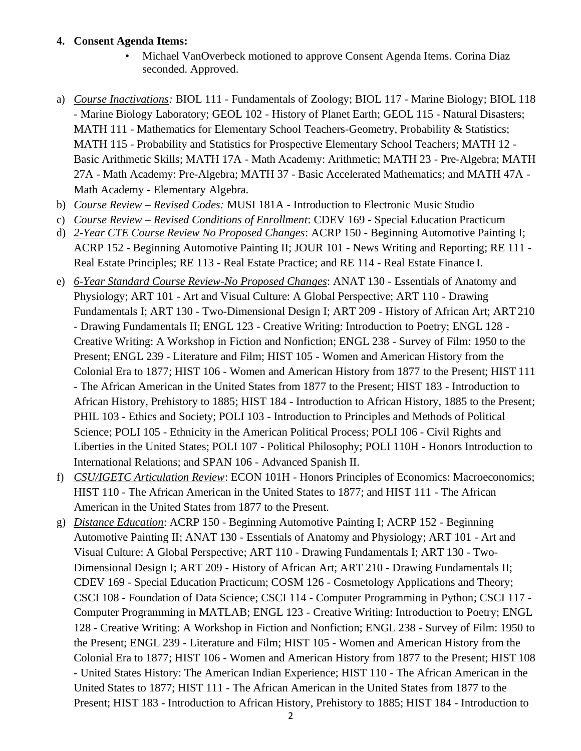#### **4. Consent Agenda Items:**

- Michael VanOverbeck motioned to approve Consent Agenda Items. Corina Diaz seconded. Approved.
- a) *Course Inactivations:* BIOL 111 Fundamentals of Zoology; BIOL 117 Marine Biology; BIOL 118 - Marine Biology Laboratory; GEOL 102 - History of Planet Earth; GEOL 115 - Natural Disasters; MATH 111 - Mathematics for Elementary School Teachers-Geometry, Probability & Statistics; MATH 115 - Probability and Statistics for Prospective Elementary School Teachers; MATH 12 - Basic Arithmetic Skills; MATH 17A - Math Academy: Arithmetic; MATH 23 - Pre-Algebra; MATH 27A - Math Academy: Pre-Algebra; MATH 37 - Basic Accelerated Mathematics; and MATH 47A - Math Academy - Elementary Algebra.
- b) *Course Review – Revised Codes:* MUSI 181A Introduction to Electronic Music Studio
- c) *Course Review – Revised Conditions of Enrollment*: CDEV 169 Special Education Practicum
- d) *2-Year CTE Course Review No Proposed Changes*: ACRP 150 Beginning Automotive Painting I; ACRP 152 - Beginning Automotive Painting II; JOUR 101 - News Writing and Reporting; RE 111 - Real Estate Principles; RE 113 - Real Estate Practice; and RE 114 - Real Estate Finance I.
- e) *6-Year Standard Course Review-No Proposed Changes*: ANAT 130 Essentials of Anatomy and Physiology; ART 101 - Art and Visual Culture: A Global Perspective; ART 110 - Drawing Fundamentals I; ART 130 - Two-Dimensional Design I; ART 209 - History of African Art; ART210 - Drawing Fundamentals II; ENGL 123 - Creative Writing: Introduction to Poetry; ENGL 128 - Creative Writing: A Workshop in Fiction and Nonfiction; ENGL 238 - Survey of Film: 1950 to the Present; ENGL 239 - Literature and Film; HIST 105 - Women and American History from the Colonial Era to 1877; HIST 106 - Women and American History from 1877 to the Present; HIST 111 - The African American in the United States from 1877 to the Present; HIST 183 - Introduction to African History, Prehistory to 1885; HIST 184 - Introduction to African History, 1885 to the Present; PHIL 103 - Ethics and Society; POLI 103 - Introduction to Principles and Methods of Political Science; POLI 105 - Ethnicity in the American Political Process; POLI 106 - Civil Rights and Liberties in the United States; POLI 107 - Political Philosophy; POLI 110H - Honors Introduction to International Relations; and SPAN 106 - Advanced Spanish II.
- f) *CSU/IGETC Articulation Review*: ECON 101H Honors Principles of Economics: Macroeconomics; HIST 110 - The African American in the United States to 1877; and HIST 111 - The African American in the United States from 1877 to the Present.
- g) *Distance Education*: ACRP 150 Beginning Automotive Painting I; ACRP 152 Beginning Automotive Painting II; ANAT 130 - Essentials of Anatomy and Physiology; ART 101 - Art and Visual Culture: A Global Perspective; ART 110 - Drawing Fundamentals I; ART 130 - Two-Dimensional Design I; ART 209 - History of African Art; ART 210 - Drawing Fundamentals II; CDEV 169 - Special Education Practicum; COSM 126 - Cosmetology Applications and Theory; CSCI 108 - Foundation of Data Science; CSCI 114 - Computer Programming in Python; CSCI 117 - Computer Programming in MATLAB; ENGL 123 - Creative Writing: Introduction to Poetry; ENGL 128 - Creative Writing: A Workshop in Fiction and Nonfiction; ENGL 238 - Survey of Film: 1950 to the Present; ENGL 239 - Literature and Film; HIST 105 - Women and American History from the Colonial Era to 1877; HIST 106 - Women and American History from 1877 to the Present; HIST 108 - United States History: The American Indian Experience; HIST 110 - The African American in the United States to 1877; HIST 111 - The African American in the United States from 1877 to the Present; HIST 183 - Introduction to African History, Prehistory to 1885; HIST 184 - Introduction to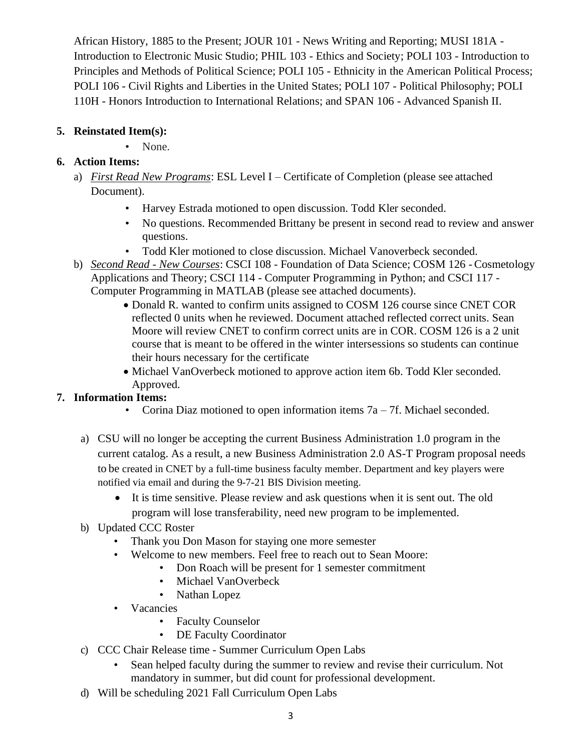African History, 1885 to the Present; JOUR 101 - News Writing and Reporting; MUSI 181A - Introduction to Electronic Music Studio; PHIL 103 - Ethics and Society; POLI 103 - Introduction to Principles and Methods of Political Science; POLI 105 - Ethnicity in the American Political Process; POLI 106 - Civil Rights and Liberties in the United States; POLI 107 - Political Philosophy; POLI 110H - Honors Introduction to International Relations; and SPAN 106 - Advanced Spanish II.

## **5. Reinstated Item(s):**

• None.

# **6. Action Items:**

- a) *First Read New Programs*: ESL Level I Certificate of Completion (please see attached Document).
	- Harvey Estrada motioned to open discussion. Todd Kler seconded.
	- No questions. Recommended Brittany be present in second read to review and answer questions.
	- Todd Kler motioned to close discussion. Michael Vanoverbeck seconded.
- b) *Second Read - New Courses*: CSCI 108 Foundation of Data Science; COSM 126 Cosmetology Applications and Theory; CSCI 114 - Computer Programming in Python; and CSCI 117 - Computer Programming in MATLAB (please see attached documents).
	- Donald R. wanted to confirm units assigned to COSM 126 course since CNET COR reflected 0 units when he reviewed. Document attached reflected correct units. Sean Moore will review CNET to confirm correct units are in COR. COSM 126 is a 2 unit course that is meant to be offered in the winter intersessions so students can continue their hours necessary for the certificate
	- Michael VanOverbeck motioned to approve action item 6b. Todd Kler seconded. Approved.

# **7. Information Items:**

- Corina Diaz motioned to open information items  $7a 7f$ . Michael seconded.
- a) CSU will no longer be accepting the current Business Administration 1.0 program in the current catalog. As a result, a new Business Administration 2.0 AS-T Program proposal needs to be created in CNET by a full-time business faculty member. Department and key players were notified via email and during the 9-7-21 BIS Division meeting.
	- It is time sensitive. Please review and ask questions when it is sent out. The old program will lose transferability, need new program to be implemented.
- b) Updated CCC Roster
	- Thank you Don Mason for staying one more semester
	- Welcome to new members. Feel free to reach out to Sean Moore:
		- Don Roach will be present for 1 semester commitment
		- Michael VanOverbeck
		- Nathan Lopez
	- Vacancies
		- Faculty Counselor
		- DE Faculty Coordinator
- c) CCC Chair Release time Summer Curriculum Open Labs
	- Sean helped faculty during the summer to review and revise their curriculum. Not mandatory in summer, but did count for professional development.
- d) Will be scheduling 2021 Fall Curriculum Open Labs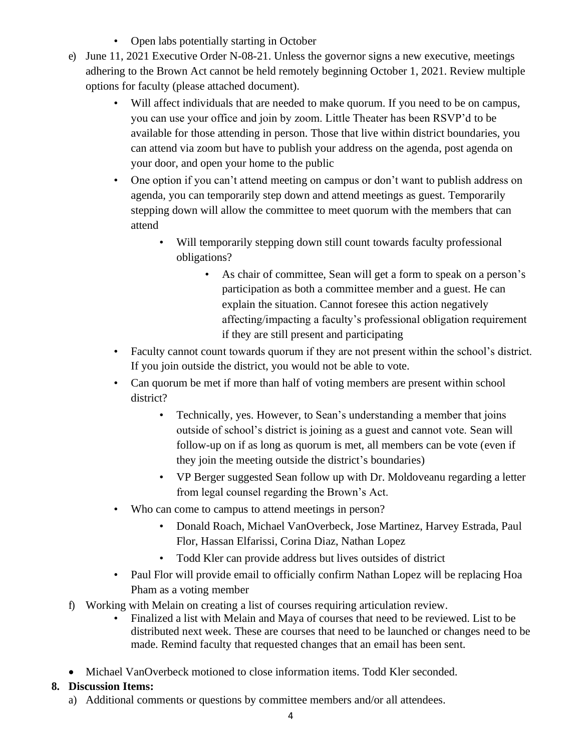- Open labs potentially starting in October
- e) June 11, 2021 Executive Order N-08-21. Unless the governor signs a new executive, meetings adhering to the Brown Act cannot be held remotely beginning October 1, 2021. Review multiple options for faculty (please attached document).
	- Will affect individuals that are needed to make quorum. If you need to be on campus, you can use your office and join by zoom. Little Theater has been RSVP'd to be available for those attending in person. Those that live within district boundaries, you can attend via zoom but have to publish your address on the agenda, post agenda on your door, and open your home to the public
	- One option if you can't attend meeting on campus or don't want to publish address on agenda, you can temporarily step down and attend meetings as guest. Temporarily stepping down will allow the committee to meet quorum with the members that can attend
		- Will temporarily stepping down still count towards faculty professional obligations?
			- As chair of committee, Sean will get a form to speak on a person's participation as both a committee member and a guest. He can explain the situation. Cannot foresee this action negatively affecting/impacting a faculty's professional obligation requirement if they are still present and participating
	- Faculty cannot count towards quorum if they are not present within the school's district. If you join outside the district, you would not be able to vote.
	- Can quorum be met if more than half of voting members are present within school district?
		- Technically, yes. However, to Sean's understanding a member that joins outside of school's district is joining as a guest and cannot vote. Sean will follow-up on if as long as quorum is met, all members can be vote (even if they join the meeting outside the district's boundaries)
		- VP Berger suggested Sean follow up with Dr. Moldoveanu regarding a letter from legal counsel regarding the Brown's Act.
	- Who can come to campus to attend meetings in person?
		- Donald Roach, Michael VanOverbeck, Jose Martinez, Harvey Estrada, Paul Flor, Hassan Elfarissi, Corina Diaz, Nathan Lopez
		- Todd Kler can provide address but lives outsides of district
	- Paul Flor will provide email to officially confirm Nathan Lopez will be replacing Hoa Pham as a voting member
- f) Working with Melain on creating a list of courses requiring articulation review.
	- Finalized a list with Melain and Maya of courses that need to be reviewed. List to be distributed next week. These are courses that need to be launched or changes need to be made. Remind faculty that requested changes that an email has been sent.
- Michael VanOverbeck motioned to close information items. Todd Kler seconded.

## **8. Discussion Items:**

a) Additional comments or questions by committee members and/or all attendees.